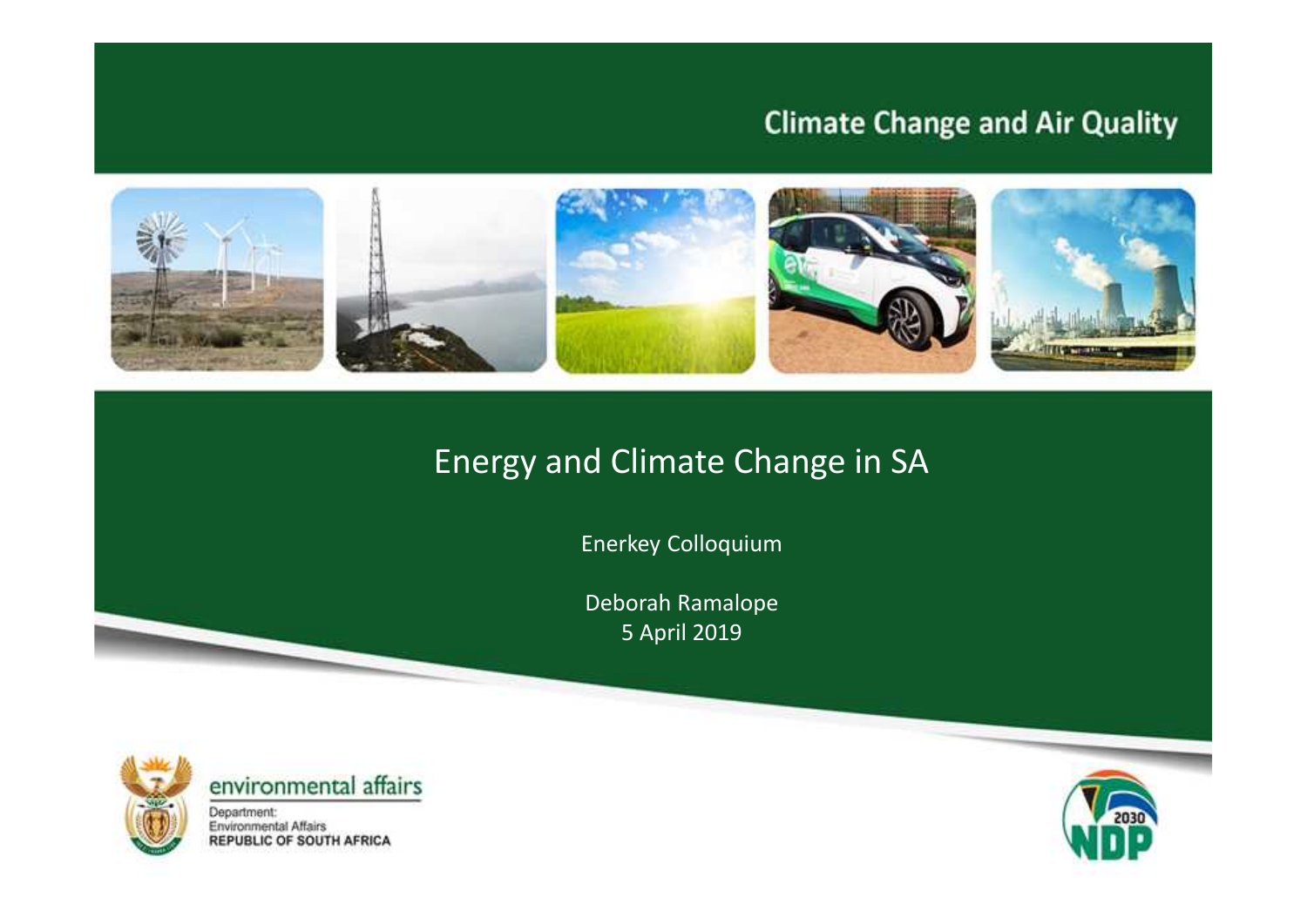### **Climate Change and Air Quality**



### Energy and Climate Change in SA

Enerkey Colloquium

Deborah Ramalope 5 April 2019





Department: Environmental Affairs<br>REPUBLIC OF SOUTH AFRICA

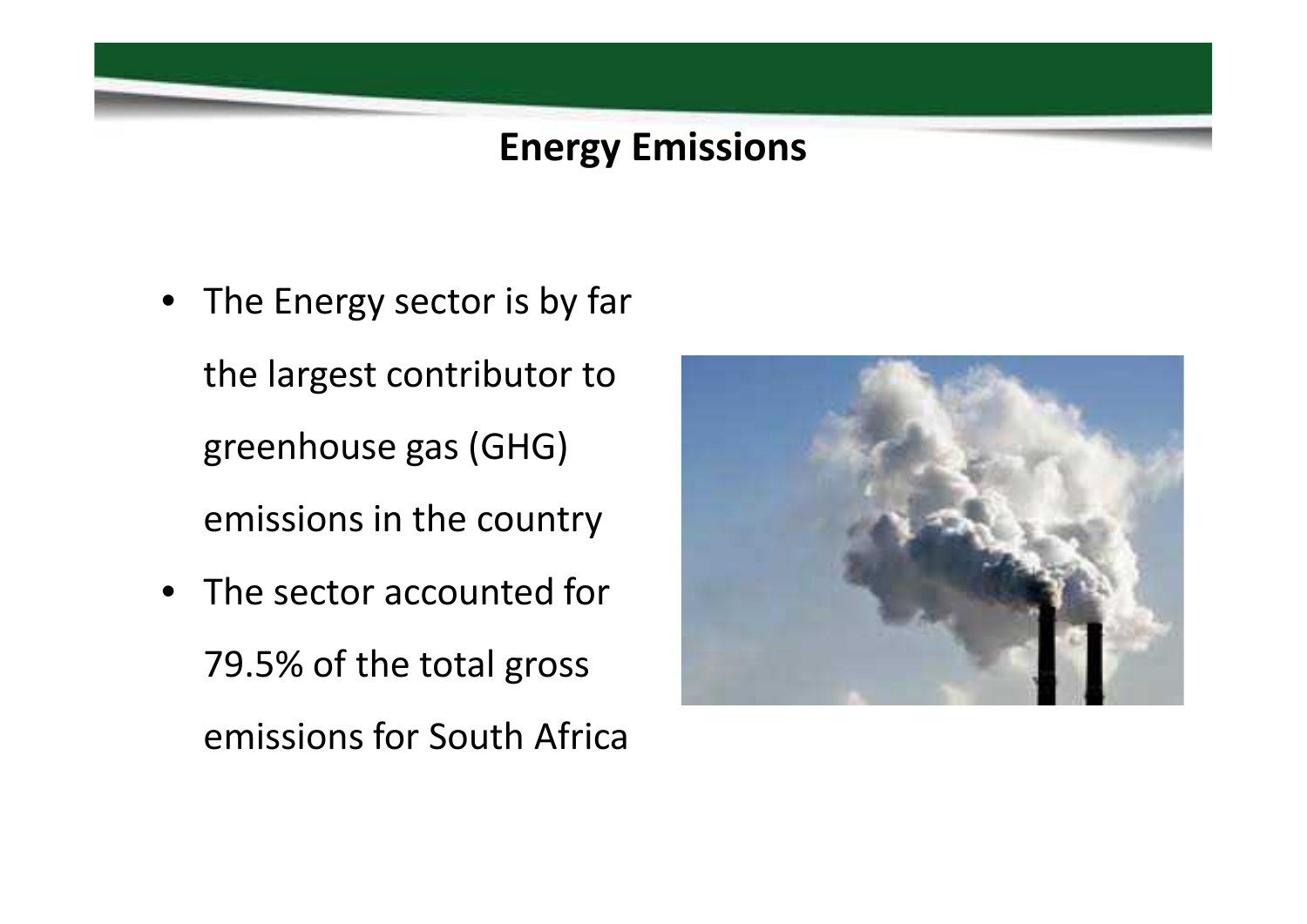## **Energy Emissions**

- The Energy sector is by far the largest contributor to greenhouse gas (GHG) emissions in the country
- The sector accounted for 79.5% of the total gross emissions for South Africa

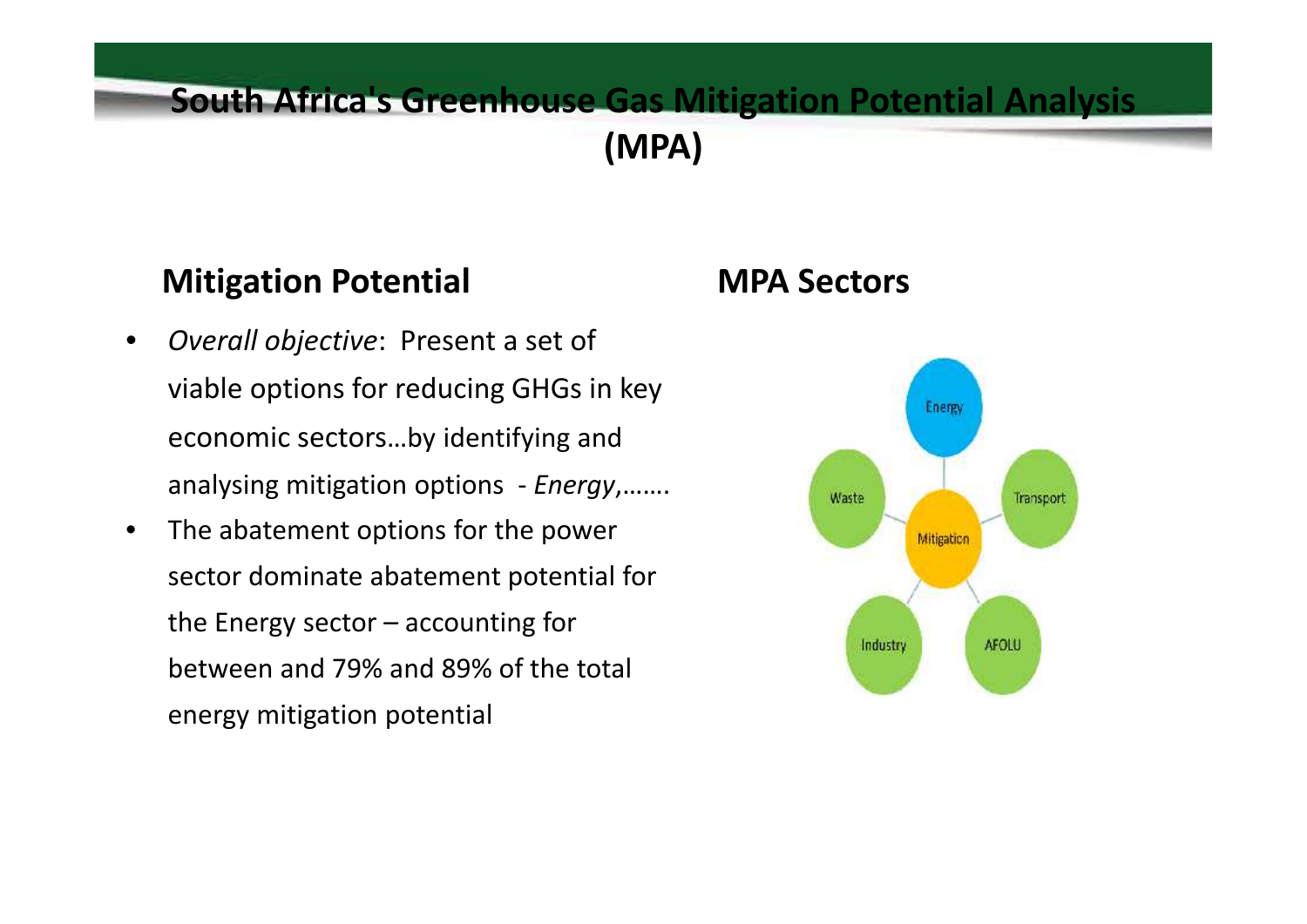### **South Africa's Greenhouse Gas Mitigation Potential Analysis (MPA)**

### **Mitigation Potential**

- *Overall objective*: Present a set of viable options for reducing GHGs in key economic sectors…by identifying and analysing mitigation options - *Energy*,…….
- The abatement options for the power sector dominate abatement potential for the Energy sector  $-$  accounting for between and 79% and 89% of the total energy mitigation potential

### **MPA Sectors**

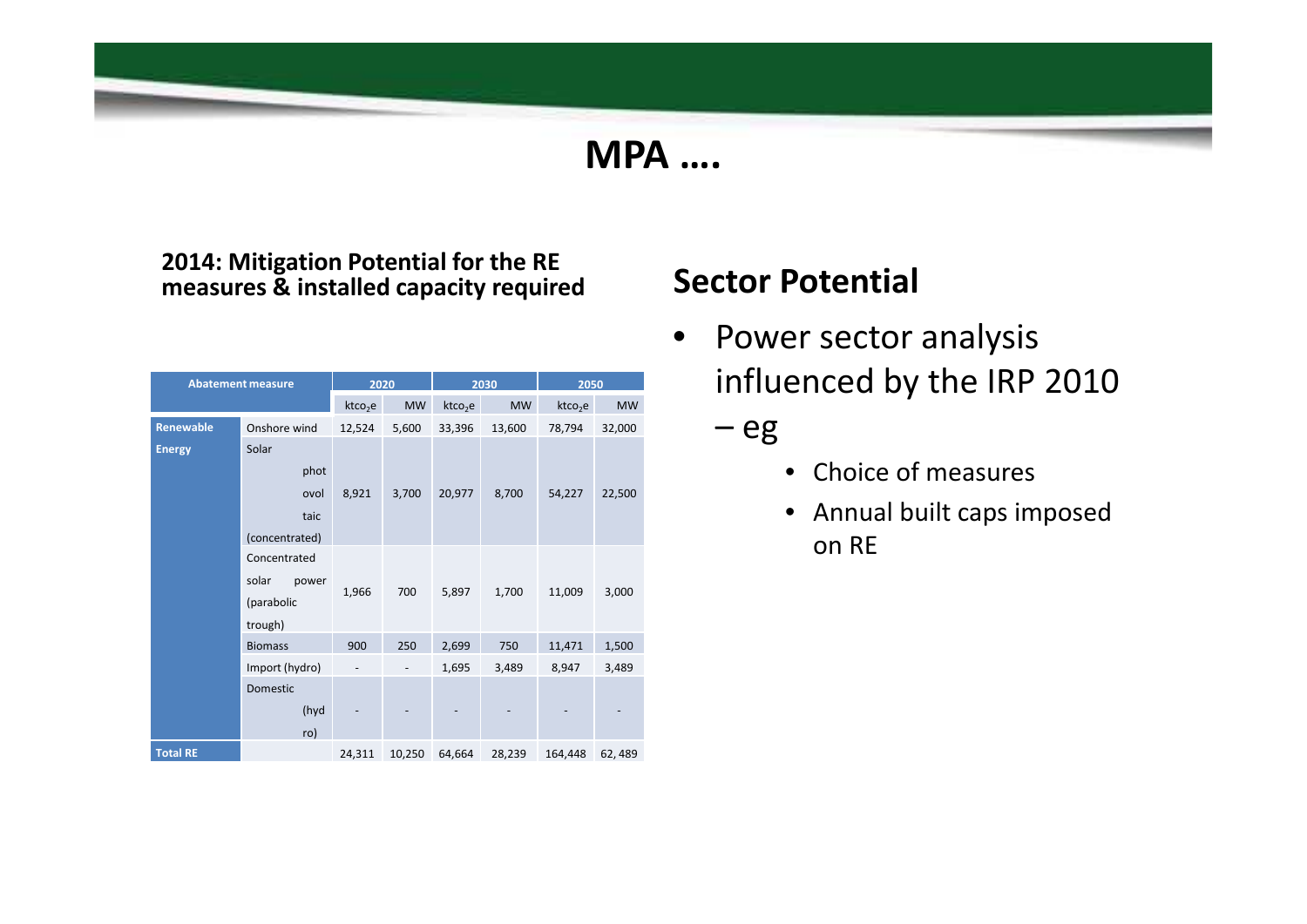### **MPA ….**

#### **2014: Mitigation Potential for the RE measures & installed capacity required**

| <b>Abatement measure</b> |                | 2020                |           | 2030                |           | 2050                |           |
|--------------------------|----------------|---------------------|-----------|---------------------|-----------|---------------------|-----------|
|                          |                | ktco <sub>2</sub> e | <b>MW</b> | ktco <sub>2</sub> e | <b>MW</b> | ktco <sub>2</sub> e | <b>MW</b> |
| Renewable                | Onshore wind   | 12,524              | 5,600     | 33,396              | 13,600    | 78,794              | 32,000    |
| <b>Energy</b>            | Solar          |                     |           |                     |           |                     |           |
|                          | phot           |                     |           |                     |           |                     |           |
|                          | ovol           | 8,921               | 3,700     | 20,977              | 8,700     | 54,227              | 22,500    |
|                          | taic           |                     |           |                     |           |                     |           |
|                          | (concentrated) |                     |           |                     |           |                     |           |
|                          | Concentrated   |                     |           |                     |           |                     |           |
|                          | solar<br>power |                     | 700       |                     |           |                     |           |
|                          | (parabolic     | 1,966               |           | 5,897               | 1,700     | 11,009              | 3,000     |
|                          | trough)        |                     |           |                     |           |                     |           |
|                          | <b>Biomass</b> | 900                 | 250       | 2,699               | 750       | 11,471              | 1,500     |
|                          | Import (hydro) |                     |           | 1,695               | 3,489     | 8,947               | 3,489     |
|                          | Domestic       |                     |           |                     |           |                     |           |
|                          | (hyd           |                     |           |                     |           |                     |           |
|                          | ro)            |                     |           |                     |           |                     |           |
| <b>Total RE</b>          |                | 24,311              | 10,250    | 64,664              | 28,239    | 164,448             | 62,489    |

### **Sector Potential**

- Power sector analysis influenced by the IRP 2010
	- eg
		- Choice of measures
		- Annual built caps imposed on RE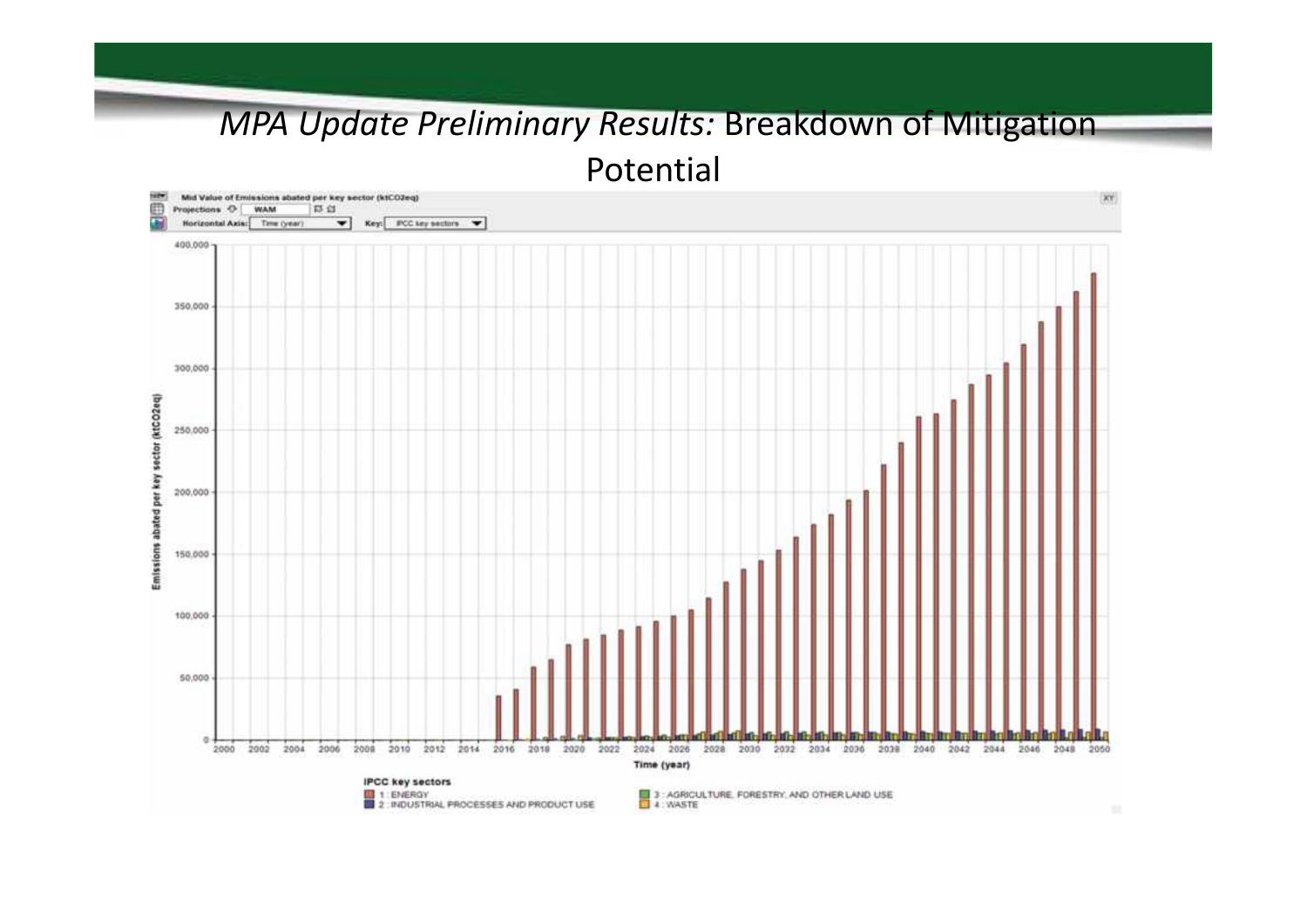# *MPA Update Preliminary Results:* Breakdown of Mitigation

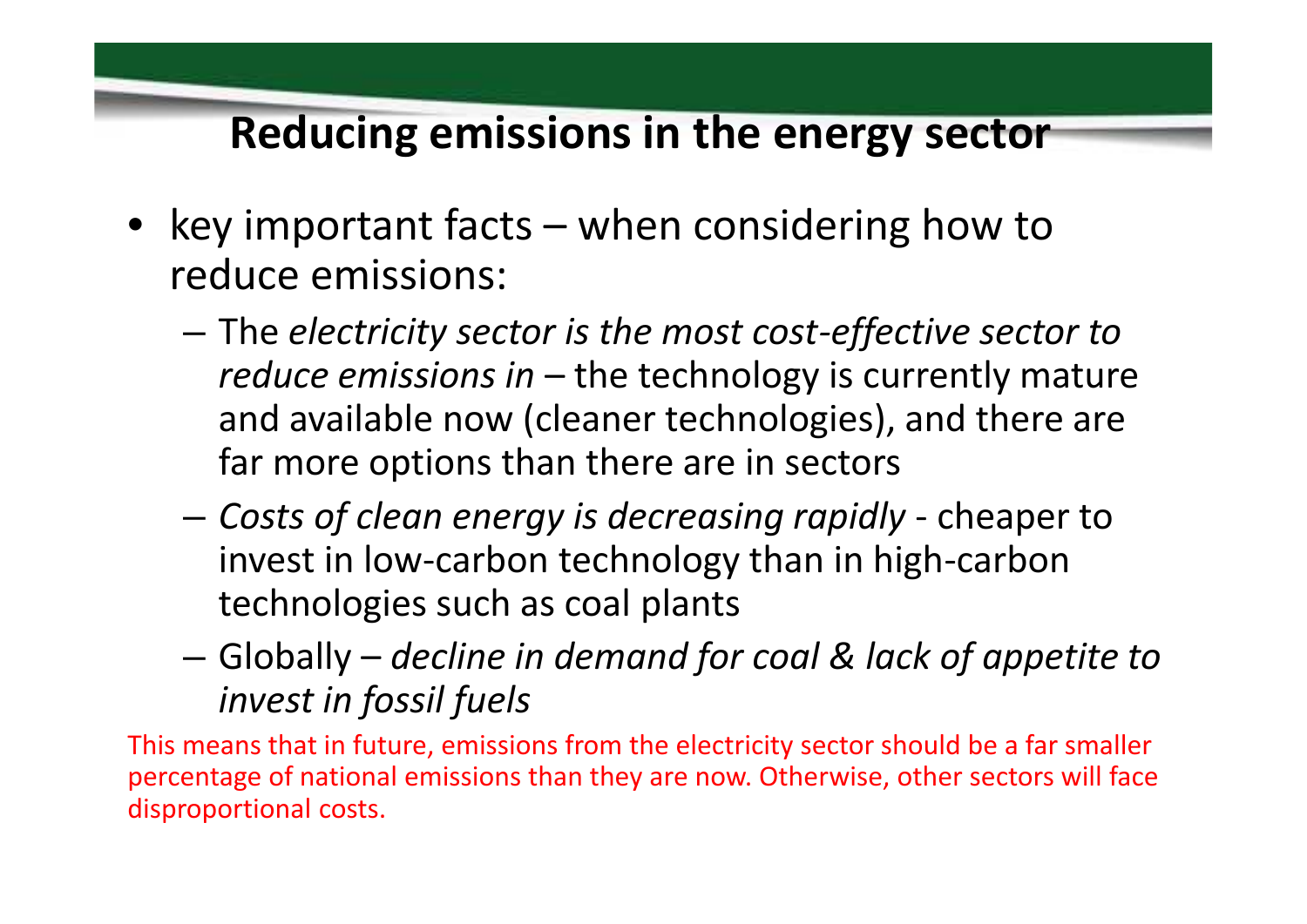## **Reducing emissions in the energy sector**

- key important facts when considering how to reduce emissions:
	- The *electricity sector is the most cost-effective sector to reduce emissions in* – the technology is currently mature and available now (cleaner technologies), and there are far more options than there are in sectors
	- *Costs of clean energy is decreasing rapidly* cheaper to invest in low-carbon technology than in high-carbon technologies such as coal plants
	- Globally *decline in demand for coal & lack of appetite to invest in fossil fuels*

This means that in future, emissions from the electricity sector should be a far smaller percentage of national emissions than they are now. Otherwise, other sectors will face disproportional costs.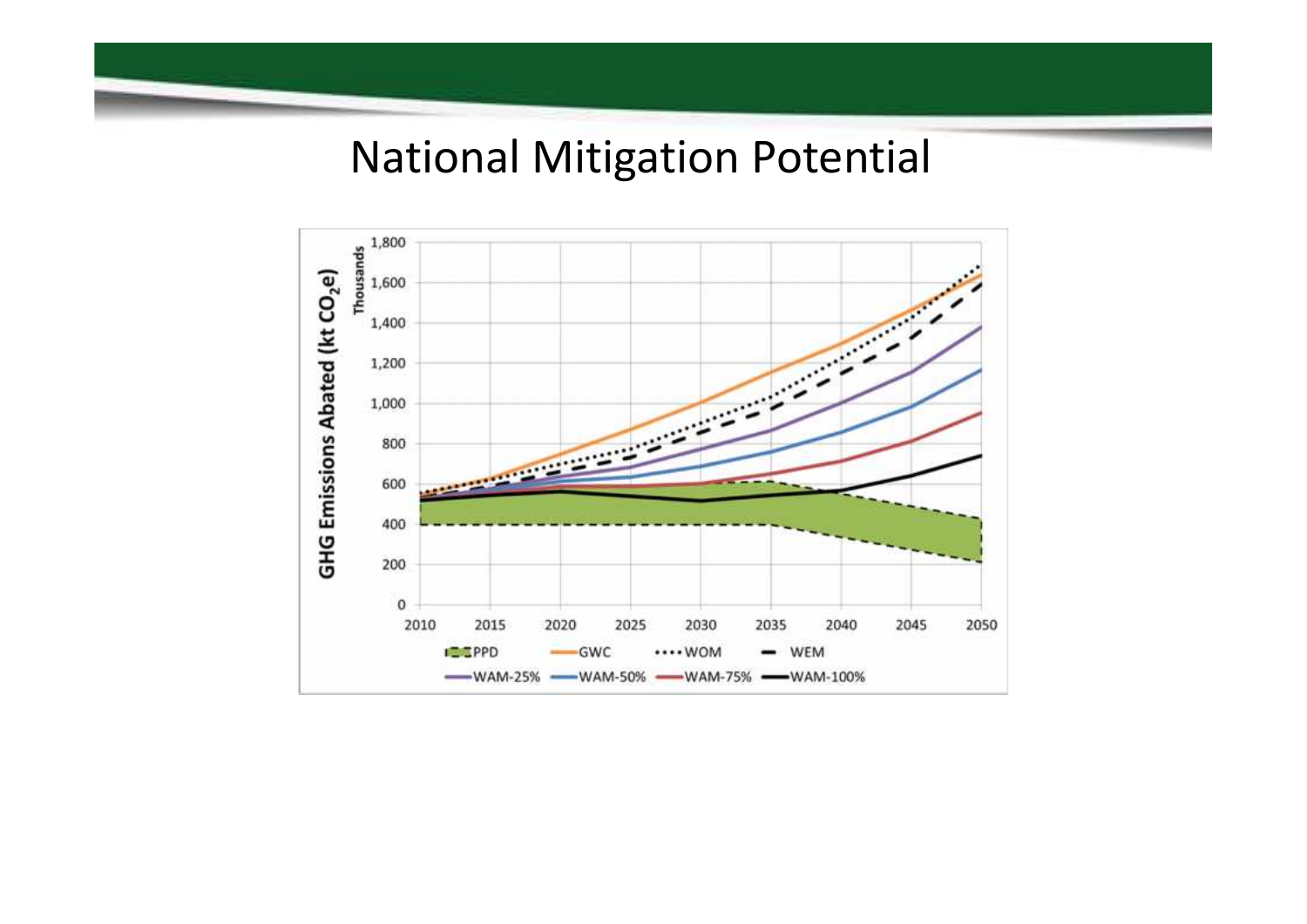## National Mitigation Potential

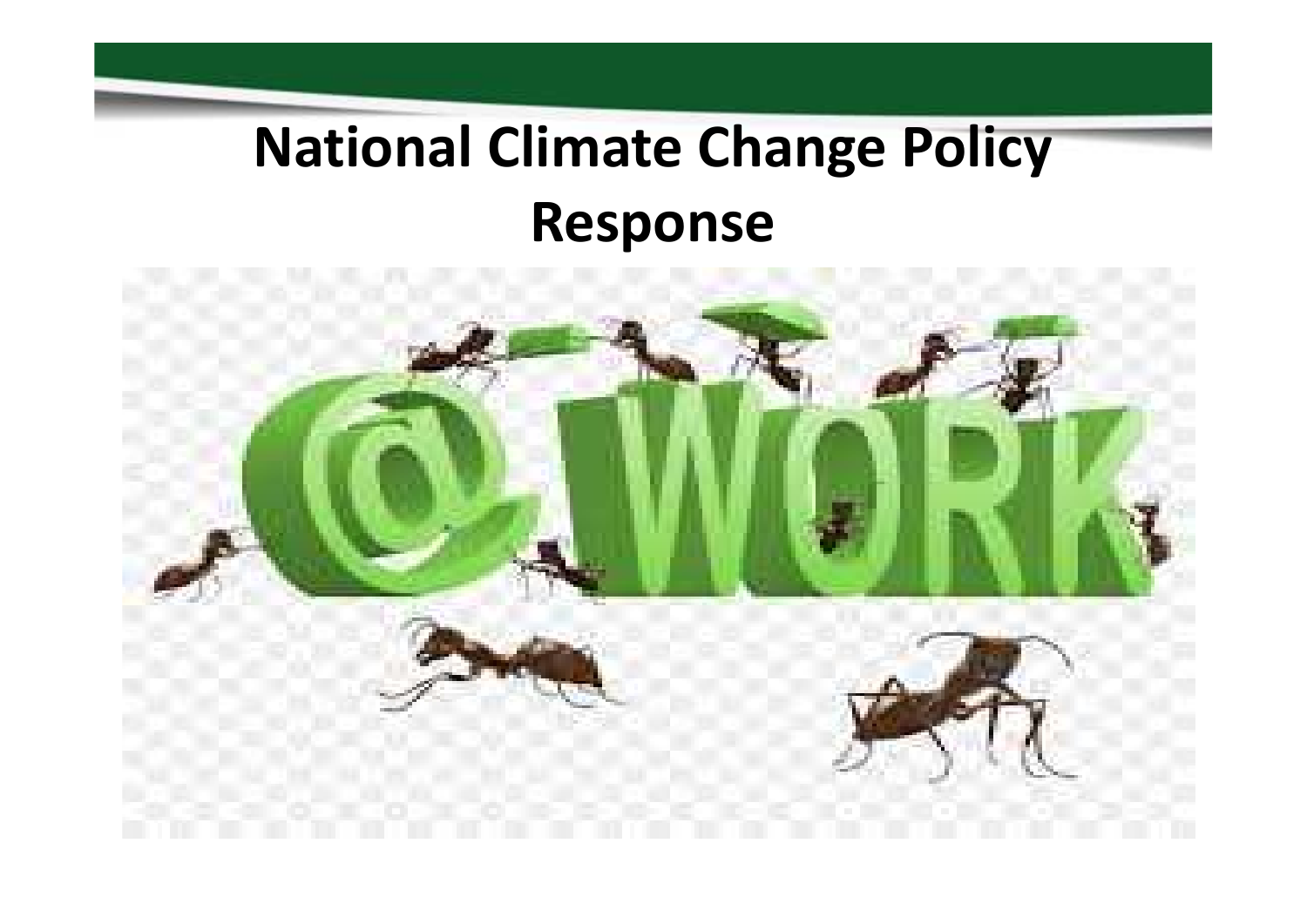# **National Climate Change Policy Response**

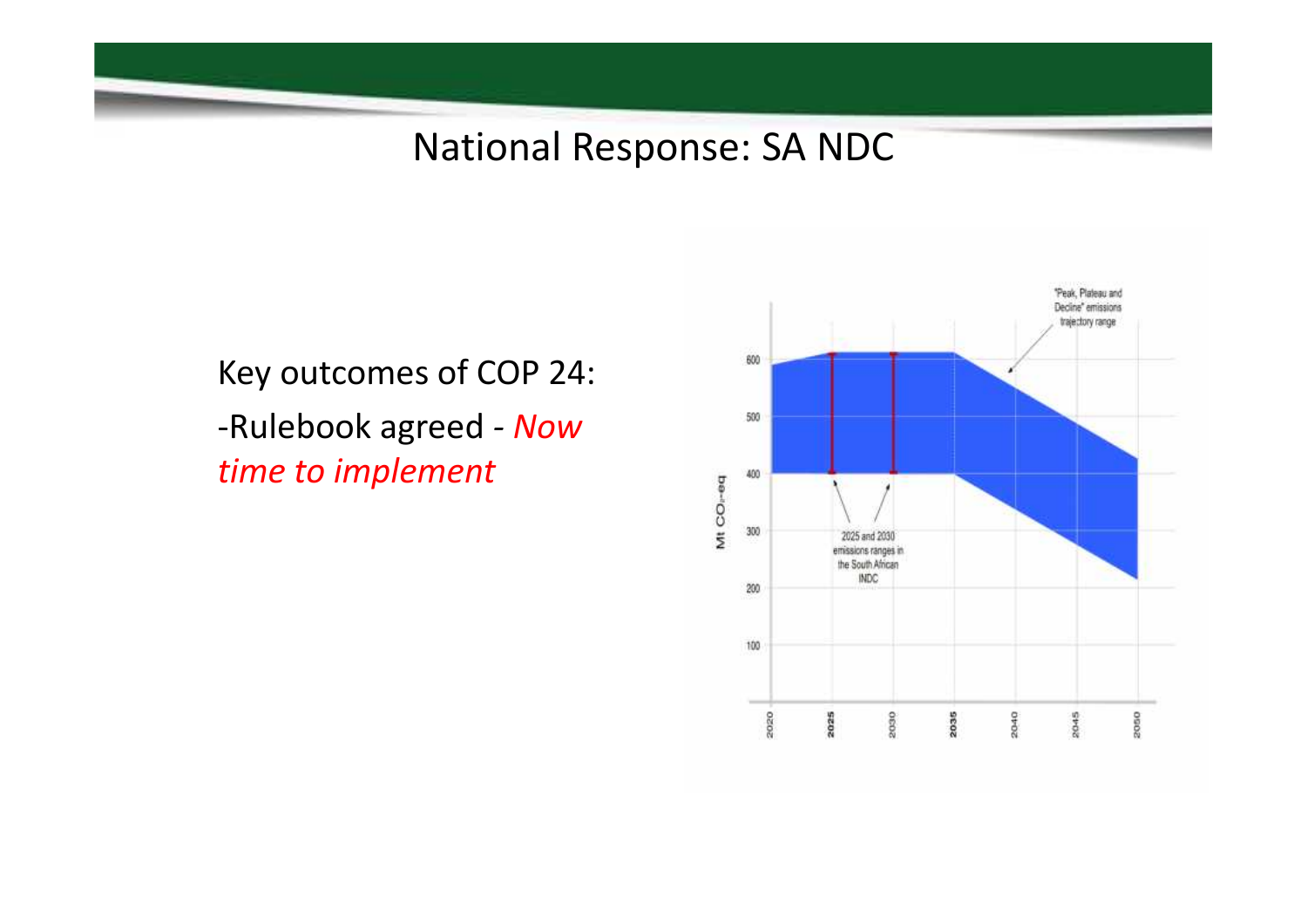## National Response: SA NDC

Key outcomes of COP 24: -Rulebook agreed *- Now time to implement*

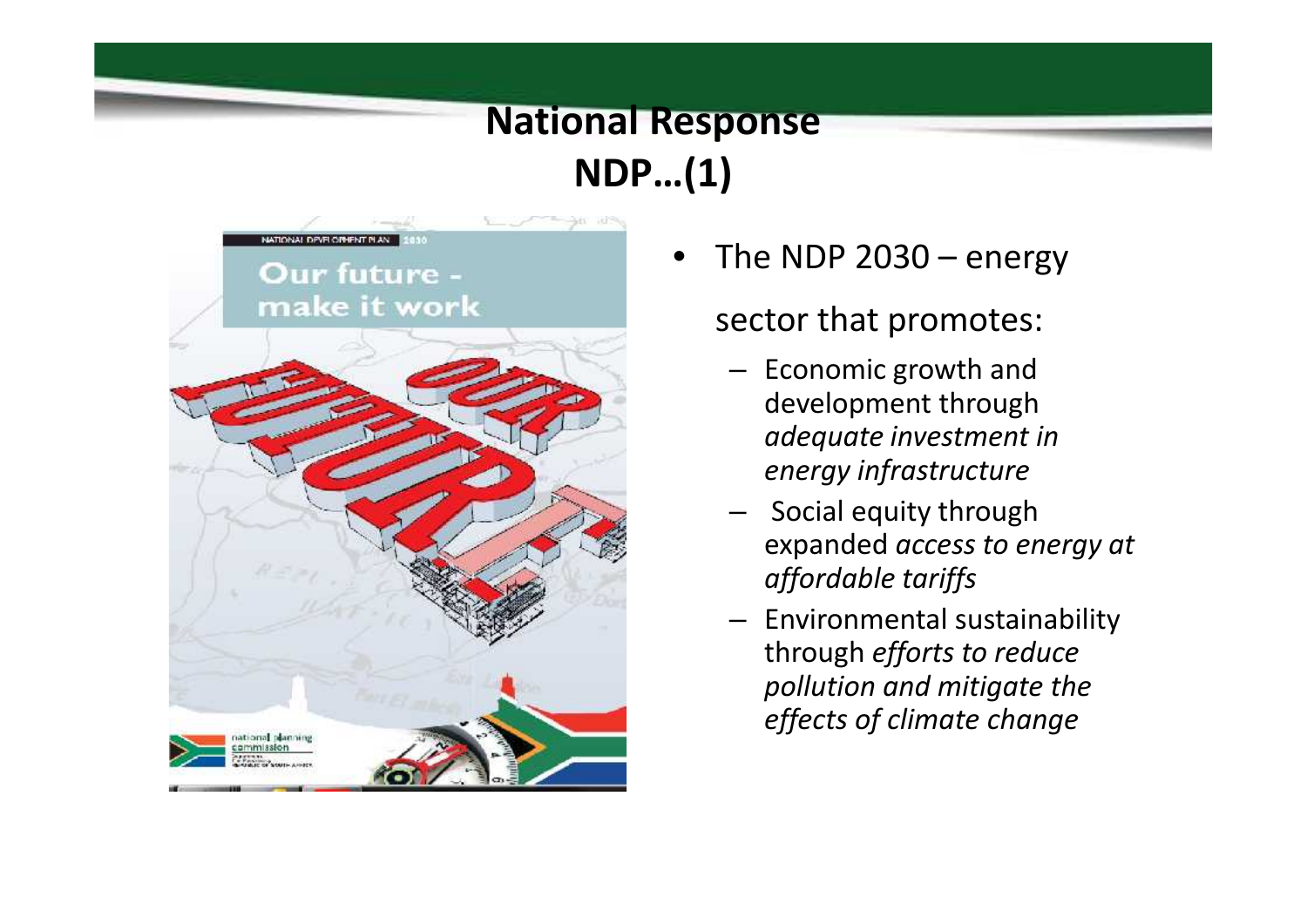## **National Response NDP…(1)**



• The NDP 2030 – energy

### sector that promotes:

- Economic growth and development through *adequate investment in energy infrastructure*
- Social equity through expanded *access to energy at affordable tariffs*
- Environmental sustainability through *efforts to reduce pollution and mitigate the effects of climate change*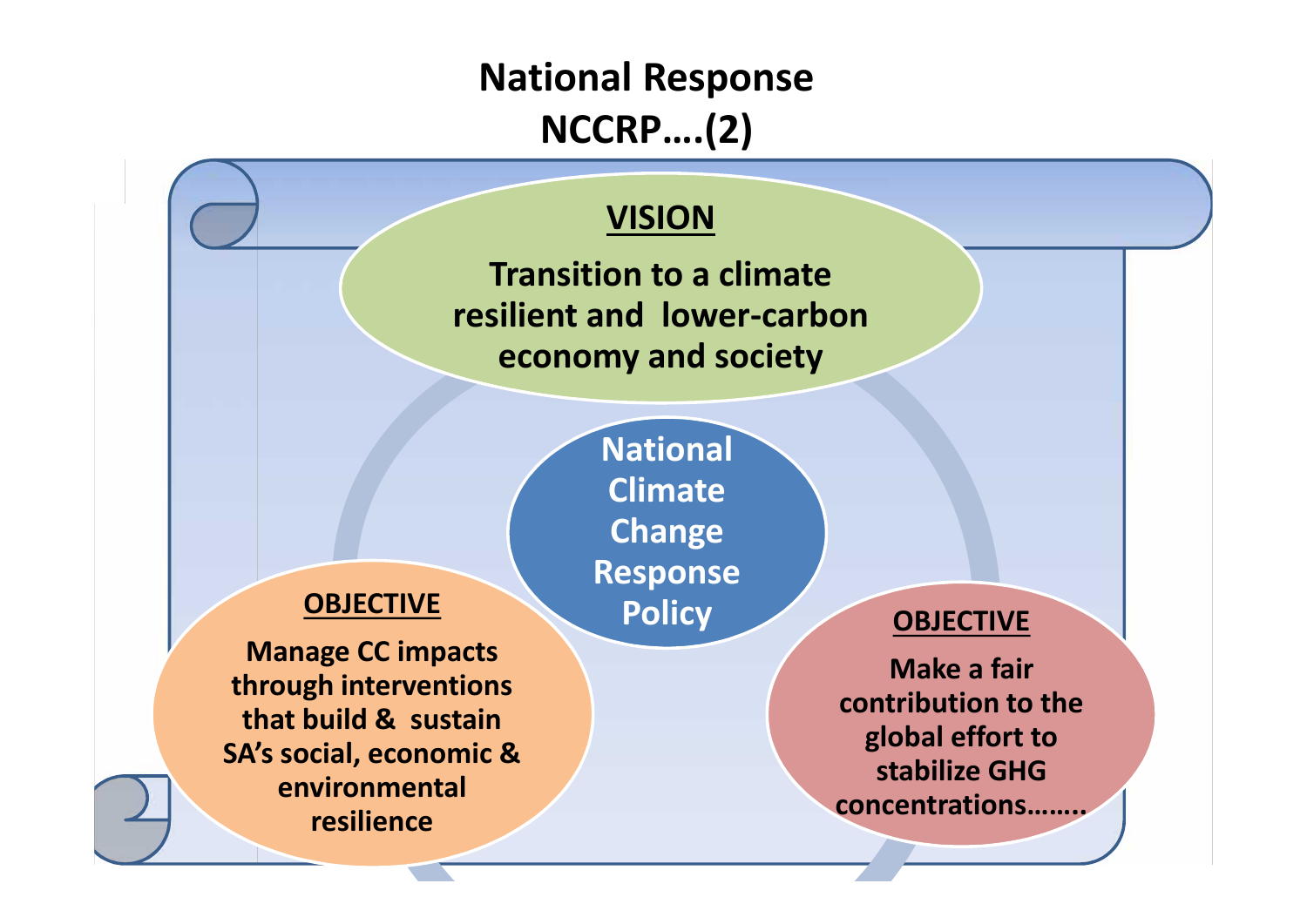## **National Response NCCRP….(2)**

### **VISION**

**Transition to a climate resilient and lower-carbon economy and society**

### **OBJECTIVE**

**Manage CC impacts through interventions that build & sustain SA's social, economic & environmental resilience**

**National Climate Change Response Policy**

### **OBJECTIVE**

**Make a fair contribution to the global effort to stabilize GHG concentrations……..**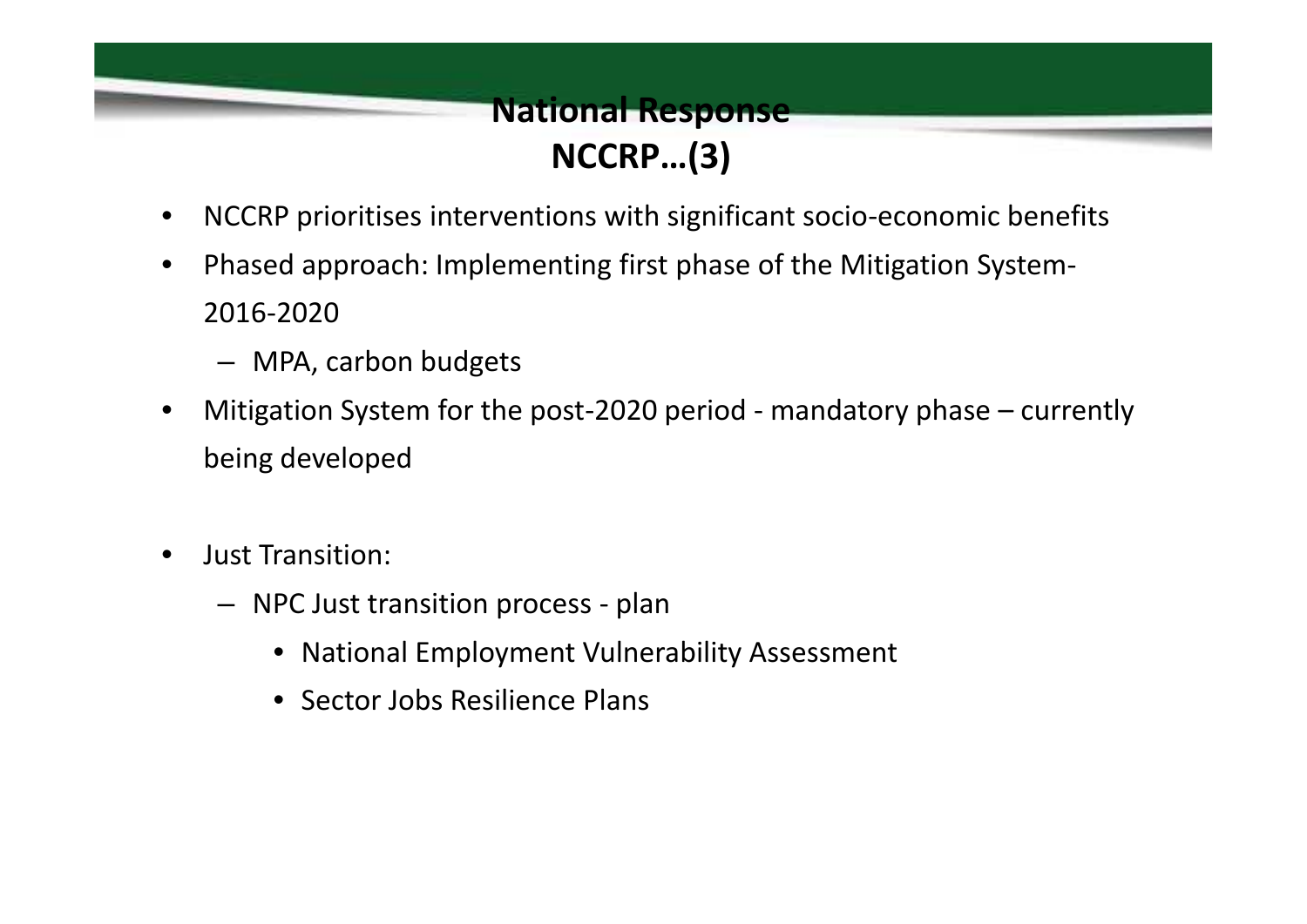### **National Response NCCRP…(3)**

- NCCRP prioritises interventions with significant socio-economic benefits
- Phased approach: Implementing first phase of the Mitigation System- 2016-2020
	- MPA, carbon budgets
- Mitigation System for the post-2020 period mandatory phase currently being developed
- Just Transition:
	- NPC Just transition process plan
		- National Employment Vulnerability Assessment
		- Sector Jobs Resilience Plans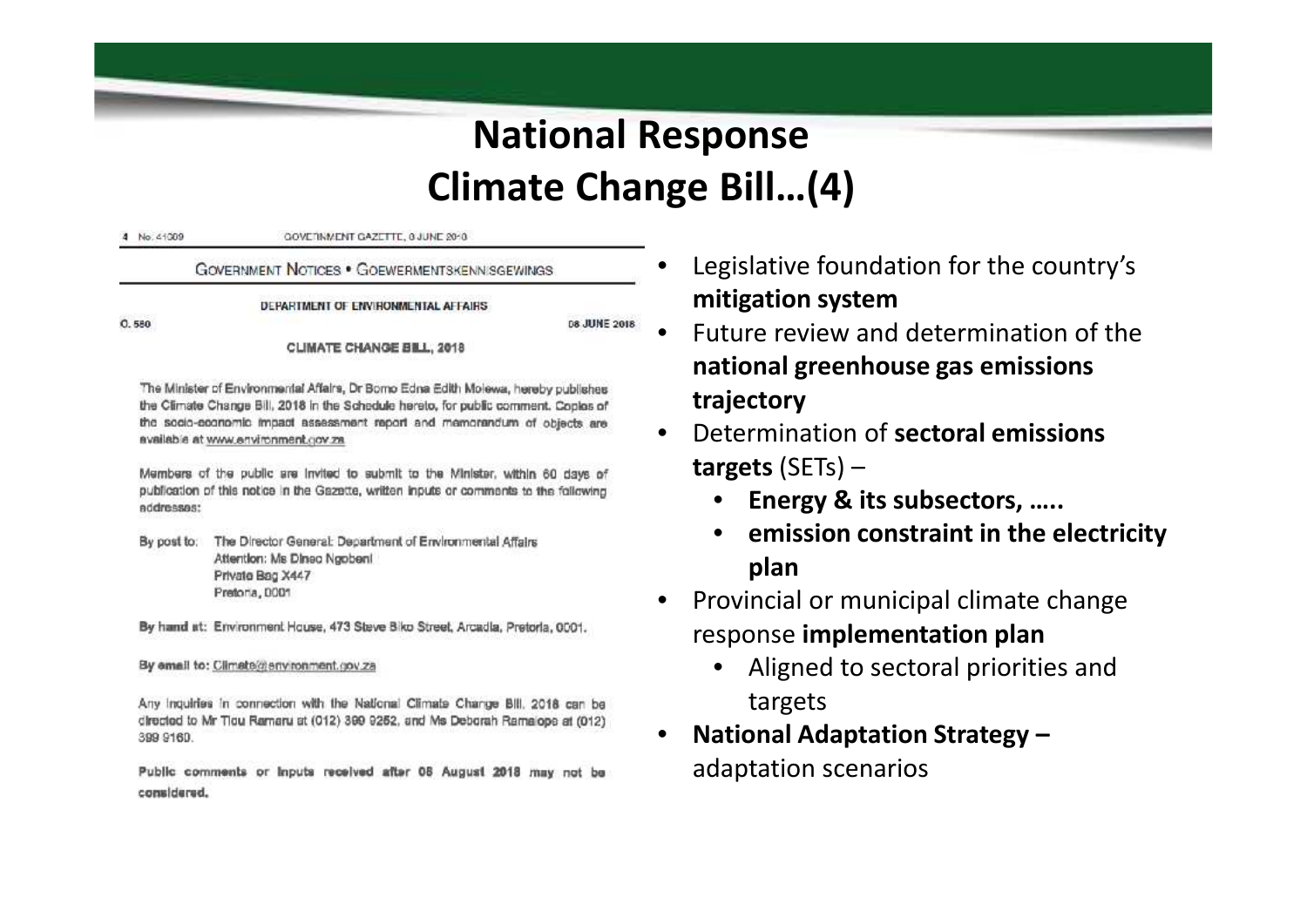## **National Response Climate Change Bill…(4)**

4 No. 41009 COVEDNMENT CAZETTE, GUINE 2040

#### **GOVERNMENT NOTICES • GOEWERMENTSKENN SGEWINGS**

DEPARTMENT OF ENVIRONMENTAL AFFAIRS

08 JUNE 2018

**CLIMATE CHANGE BILL, 2018** 

The Minister of Environmental Affairs, Dr Bomo Edna Edith Molewa, hereby publishes the Climate Change Bill, 2018 in the Schedule hereto, for public comment. Copies of the socio-coonomic fmpact assessment report and mamorandum of objects are available at www.environment.cov.za

Members of the public are invited to submit to the Minister, within 60 days of publication of this notice in the Gazette, written inputs or comments to the following addresses:

By post to: The Director General: Department of Environmental Affairs Attention: Ms Dineo Ngobeni Private Bag X447 Pretoria, DOD1

By hand at: Environment House, 473 Steve Biko Street, Arcadia, Pretoria, 0001.

By email to: Climate@environment.gov.za

Any inquiries in connection with the National Climate Change Bill, 2018 can be directed to Mr Tiou Ramaru at (012) 399 9252, and Ms Deborah Ramalope at (012) 399 9160

Public comments or inputs received after 08 August 2018 may not be considered.

- Legislative foundation for the country's **mitigation system**
- Future review and determination of the **national greenhouse gas emissions trajectory**
- Determination of **sectoral emissions targets** (SETs) –
	- **Energy & its subsectors, …..**
	- **emission constraint in the electricity plan**
- Provincial or municipal climate change response **implementation plan**
	- Aligned to sectoral priorities and targets
- **National Adaptation Strategy –** adaptation scenarios

0.580